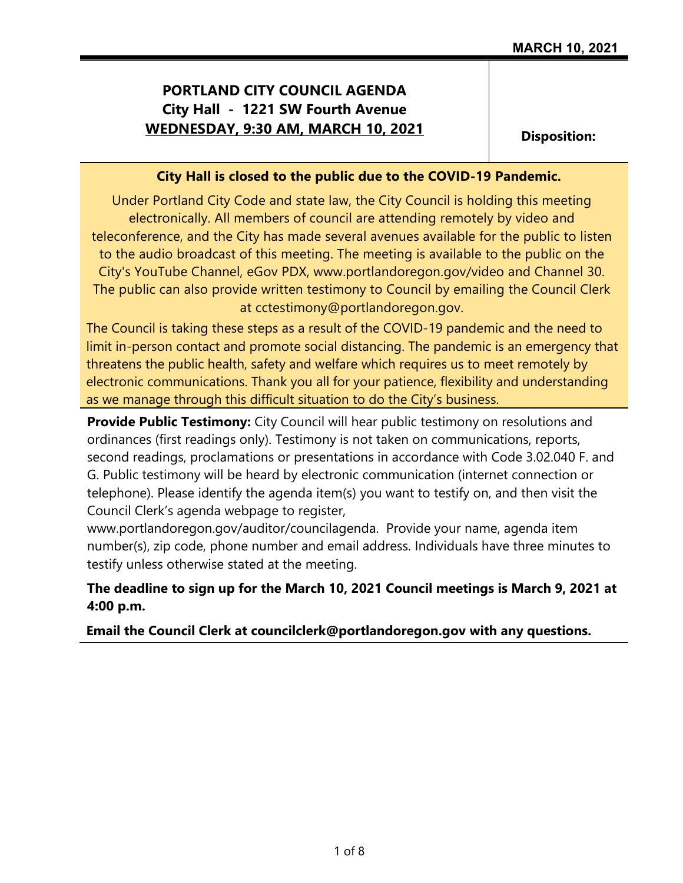# **PORTLAND CITY COUNCIL AGENDA City Hall - 1221 SW Fourth Avenue WEDNESDAY, 9:30 AM, MARCH 10, 2021** Disposition:

### **City Hall is closed to the public due to the COVID-19 Pandemic.**

Under Portland City Code and state law, the City Council is holding this meeting electronically. All members of council are attending remotely by video and teleconference, and the City has made several avenues available for the public to listen to the audio broadcast of this meeting. The meeting is available to the public on the City's YouTube Channel, eGov PDX, www.portlandoregon.gov/video and Channel 30. The public can also provide written testimony to Council by emailing the Council Clerk at cctestimony@portlandoregon.gov.

The Council is taking these steps as a result of the COVID-19 pandemic and the need to limit in-person contact and promote social distancing. The pandemic is an emergency that threatens the public health, safety and welfare which requires us to meet remotely by electronic communications. Thank you all for your patience, flexibility and understanding as we manage through this difficult situation to do the City's business.

**Provide Public Testimony:** City Council will hear public testimony on resolutions and ordinances (first readings only). Testimony is not taken on communications, reports, second readings, proclamations or presentations in accordance with Code 3.02.040 F. and G. Public testimony will be heard by electronic communication (internet connection or telephone). Please identify the agenda item(s) you want to testify on, and then visit the Council Clerk's agenda webpage to register,

www.portlandoregon.gov/auditor/councilagenda. Provide your name, agenda item number(s), zip code, phone number and email address. Individuals have three minutes to testify unless otherwise stated at the meeting.

## **The deadline to sign up for the March 10, 2021 Council meetings is March 9, 2021 at 4:00 p.m.**

## **Email the Council Clerk at councilclerk@portlandoregon.gov with any questions.**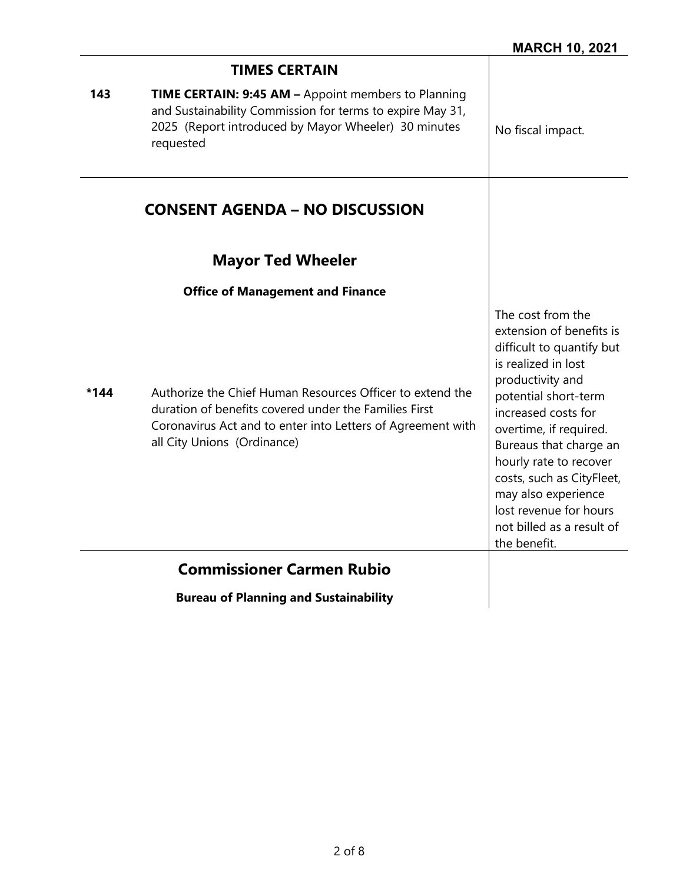|      | <b>TIMES CERTAIN</b>                                                                                                                                                                                             |                                                                                                                                                                                                                                                                                                                                                                               |
|------|------------------------------------------------------------------------------------------------------------------------------------------------------------------------------------------------------------------|-------------------------------------------------------------------------------------------------------------------------------------------------------------------------------------------------------------------------------------------------------------------------------------------------------------------------------------------------------------------------------|
| 143  | <b>TIME CERTAIN: 9:45 AM - Appoint members to Planning</b><br>and Sustainability Commission for terms to expire May 31,<br>2025 (Report introduced by Mayor Wheeler) 30 minutes<br>requested                     | No fiscal impact.                                                                                                                                                                                                                                                                                                                                                             |
|      | <b>CONSENT AGENDA - NO DISCUSSION</b>                                                                                                                                                                            |                                                                                                                                                                                                                                                                                                                                                                               |
|      | <b>Mayor Ted Wheeler</b>                                                                                                                                                                                         |                                                                                                                                                                                                                                                                                                                                                                               |
|      | <b>Office of Management and Finance</b>                                                                                                                                                                          |                                                                                                                                                                                                                                                                                                                                                                               |
| *144 | Authorize the Chief Human Resources Officer to extend the<br>duration of benefits covered under the Families First<br>Coronavirus Act and to enter into Letters of Agreement with<br>all City Unions (Ordinance) | The cost from the<br>extension of benefits is<br>difficult to quantify but<br>is realized in lost<br>productivity and<br>potential short-term<br>increased costs for<br>overtime, if required.<br>Bureaus that charge an<br>hourly rate to recover<br>costs, such as CityFleet,<br>may also experience<br>lost revenue for hours<br>not billed as a result of<br>the benefit. |
|      | <b>Commissioner Carmen Rubio</b>                                                                                                                                                                                 |                                                                                                                                                                                                                                                                                                                                                                               |
|      | <b>Bureau of Planning and Sustainability</b>                                                                                                                                                                     |                                                                                                                                                                                                                                                                                                                                                                               |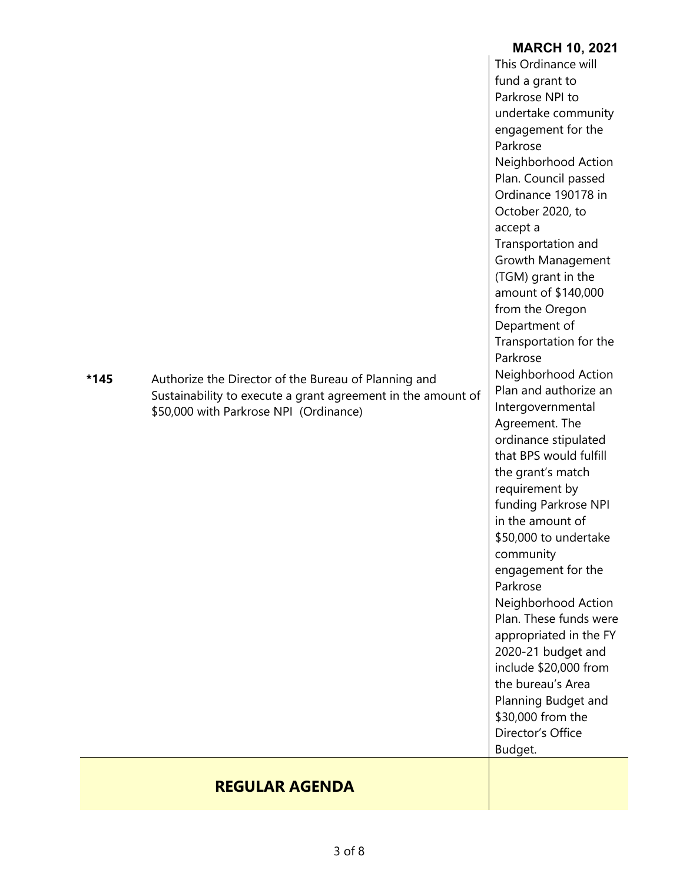|        |                                                              | <b>MARCH 10, 2021</b>                       |
|--------|--------------------------------------------------------------|---------------------------------------------|
|        |                                                              | This Ordinance will                         |
|        |                                                              | fund a grant to                             |
|        |                                                              | Parkrose NPI to                             |
|        |                                                              | undertake community                         |
|        |                                                              | engagement for the                          |
|        |                                                              | Parkrose                                    |
|        |                                                              | Neighborhood Action                         |
|        |                                                              | Plan. Council passed<br>Ordinance 190178 in |
|        |                                                              | October 2020, to                            |
|        |                                                              | accept a                                    |
|        |                                                              | Transportation and                          |
|        |                                                              | Growth Management                           |
|        |                                                              | (TGM) grant in the                          |
|        |                                                              | amount of \$140,000                         |
|        |                                                              | from the Oregon                             |
|        |                                                              | Department of                               |
|        |                                                              | Transportation for the                      |
|        |                                                              | Parkrose                                    |
| $*145$ | Authorize the Director of the Bureau of Planning and         | Neighborhood Action                         |
|        | Sustainability to execute a grant agreement in the amount of | Plan and authorize an                       |
|        | \$50,000 with Parkrose NPI (Ordinance)                       | Intergovernmental                           |
|        |                                                              | Agreement. The                              |
|        |                                                              | ordinance stipulated                        |
|        |                                                              | that BPS would fulfill                      |
|        |                                                              | the grant's match<br>requirement by         |
|        |                                                              | funding Parkrose NPI                        |
|        |                                                              | in the amount of                            |
|        |                                                              | \$50,000 to undertake                       |
|        |                                                              | community                                   |
|        |                                                              | engagement for the                          |
|        |                                                              | Parkrose                                    |
|        |                                                              | Neighborhood Action                         |
|        |                                                              | Plan. These funds were                      |
|        |                                                              | appropriated in the FY                      |
|        |                                                              | 2020-21 budget and                          |
|        |                                                              | include \$20,000 from                       |
|        |                                                              | the bureau's Area                           |
|        |                                                              | Planning Budget and                         |
|        |                                                              | \$30,000 from the                           |
|        |                                                              | Director's Office                           |
|        |                                                              | Budget.                                     |
|        |                                                              |                                             |
|        | <b>REGULAR AGENDA</b>                                        |                                             |

Ė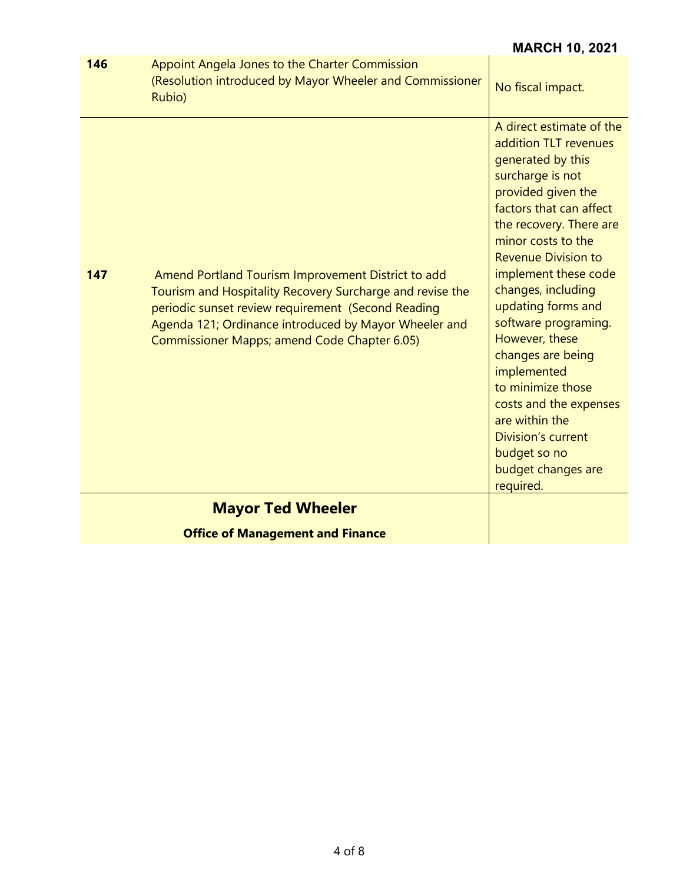|                                         |                                                                                                                                                                                                                                                                                | <b>MARCH 10, 2021</b>                                                                                                                                                                                                                                                                                                                                                                                                                                                                                                         |
|-----------------------------------------|--------------------------------------------------------------------------------------------------------------------------------------------------------------------------------------------------------------------------------------------------------------------------------|-------------------------------------------------------------------------------------------------------------------------------------------------------------------------------------------------------------------------------------------------------------------------------------------------------------------------------------------------------------------------------------------------------------------------------------------------------------------------------------------------------------------------------|
| 146                                     | Appoint Angela Jones to the Charter Commission<br>(Resolution introduced by Mayor Wheeler and Commissioner<br>Rubio)                                                                                                                                                           | No fiscal impact.                                                                                                                                                                                                                                                                                                                                                                                                                                                                                                             |
| 147                                     | Amend Portland Tourism Improvement District to add<br>Tourism and Hospitality Recovery Surcharge and revise the<br>periodic sunset review requirement (Second Reading<br>Agenda 121; Ordinance introduced by Mayor Wheeler and<br>Commissioner Mapps; amend Code Chapter 6.05) | A direct estimate of the<br>addition TLT revenues<br>generated by this<br>surcharge is not<br>provided given the<br>factors that can affect<br>the recovery. There are<br>minor costs to the<br><b>Revenue Division to</b><br>implement these code<br>changes, including<br>updating forms and<br>software programing.<br>However, these<br>changes are being<br>implemented<br>to minimize those<br>costs and the expenses<br>are within the<br><b>Division's current</b><br>budget so no<br>budget changes are<br>required. |
|                                         | <b>Mayor Ted Wheeler</b>                                                                                                                                                                                                                                                       |                                                                                                                                                                                                                                                                                                                                                                                                                                                                                                                               |
| <b>Office of Management and Finance</b> |                                                                                                                                                                                                                                                                                |                                                                                                                                                                                                                                                                                                                                                                                                                                                                                                                               |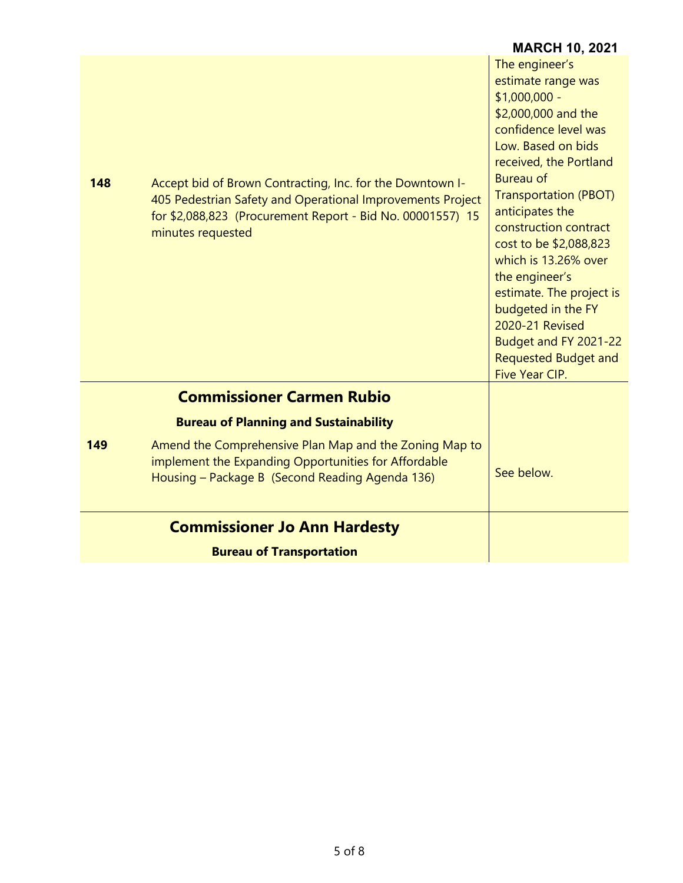|     |                                                                                                                                                                                                            | <b>MARCH 10, 2021</b>                                                                                                                                                                                                                                                                                                                                                                                                                                                           |
|-----|------------------------------------------------------------------------------------------------------------------------------------------------------------------------------------------------------------|---------------------------------------------------------------------------------------------------------------------------------------------------------------------------------------------------------------------------------------------------------------------------------------------------------------------------------------------------------------------------------------------------------------------------------------------------------------------------------|
| 148 | Accept bid of Brown Contracting, Inc. for the Downtown I-<br>405 Pedestrian Safety and Operational Improvements Project<br>for \$2,088,823 (Procurement Report - Bid No. 00001557) 15<br>minutes requested | The engineer's<br>estimate range was<br>$$1,000,000 -$<br>\$2,000,000 and the<br>confidence level was<br>Low. Based on bids<br>received, the Portland<br><b>Bureau of</b><br><b>Transportation (PBOT)</b><br>anticipates the<br>construction contract<br>cost to be \$2,088,823<br>which is 13.26% over<br>the engineer's<br>estimate. The project is<br>budgeted in the FY<br>2020-21 Revised<br>Budget and FY 2021-22<br><b>Requested Budget and</b><br><b>Five Year CIP.</b> |
|     | <b>Commissioner Carmen Rubio</b>                                                                                                                                                                           |                                                                                                                                                                                                                                                                                                                                                                                                                                                                                 |
|     | <b>Bureau of Planning and Sustainability</b>                                                                                                                                                               |                                                                                                                                                                                                                                                                                                                                                                                                                                                                                 |
| 149 | Amend the Comprehensive Plan Map and the Zoning Map to<br>implement the Expanding Opportunities for Affordable<br>Housing - Package B (Second Reading Agenda 136)                                          | See below.                                                                                                                                                                                                                                                                                                                                                                                                                                                                      |
|     | <b>Commissioner Jo Ann Hardesty</b>                                                                                                                                                                        |                                                                                                                                                                                                                                                                                                                                                                                                                                                                                 |
|     | <b>Bureau of Transportation</b>                                                                                                                                                                            |                                                                                                                                                                                                                                                                                                                                                                                                                                                                                 |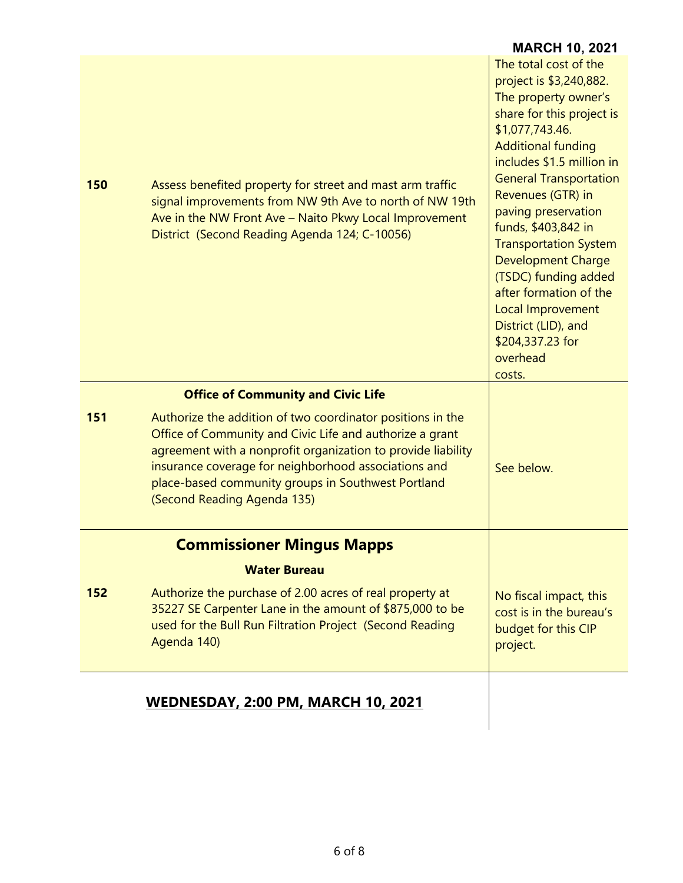|     |                                                                                                                                                                                                                                                                                                                                     | <b>MARCH 10, 2021</b>                                                                                                                                                                                                                                                                                                                                                                                                                                                                       |
|-----|-------------------------------------------------------------------------------------------------------------------------------------------------------------------------------------------------------------------------------------------------------------------------------------------------------------------------------------|---------------------------------------------------------------------------------------------------------------------------------------------------------------------------------------------------------------------------------------------------------------------------------------------------------------------------------------------------------------------------------------------------------------------------------------------------------------------------------------------|
| 150 | Assess benefited property for street and mast arm traffic<br>signal improvements from NW 9th Ave to north of NW 19th<br>Ave in the NW Front Ave - Naito Pkwy Local Improvement<br>District (Second Reading Agenda 124; C-10056)                                                                                                     | The total cost of the<br>project is \$3,240,882.<br>The property owner's<br>share for this project is<br>\$1,077,743.46.<br><b>Additional funding</b><br>includes \$1.5 million in<br><b>General Transportation</b><br>Revenues (GTR) in<br>paving preservation<br>funds, \$403,842 in<br><b>Transportation System</b><br><b>Development Charge</b><br>(TSDC) funding added<br>after formation of the<br>Local Improvement<br>District (LID), and<br>\$204,337.23 for<br>overhead<br>costs. |
|     | <b>Office of Community and Civic Life</b>                                                                                                                                                                                                                                                                                           |                                                                                                                                                                                                                                                                                                                                                                                                                                                                                             |
| 151 | Authorize the addition of two coordinator positions in the<br>Office of Community and Civic Life and authorize a grant<br>agreement with a nonprofit organization to provide liability<br>insurance coverage for neighborhood associations and<br>place-based community groups in Southwest Portland<br>(Second Reading Agenda 135) | See below.                                                                                                                                                                                                                                                                                                                                                                                                                                                                                  |
|     | <b>Commissioner Mingus Mapps</b>                                                                                                                                                                                                                                                                                                    |                                                                                                                                                                                                                                                                                                                                                                                                                                                                                             |
|     | <b>Water Bureau</b>                                                                                                                                                                                                                                                                                                                 |                                                                                                                                                                                                                                                                                                                                                                                                                                                                                             |
| 152 | Authorize the purchase of 2.00 acres of real property at<br>35227 SE Carpenter Lane in the amount of \$875,000 to be<br>used for the Bull Run Filtration Project (Second Reading<br>Agenda 140)                                                                                                                                     | No fiscal impact, this<br>cost is in the bureau's<br>budget for this CIP<br>project.                                                                                                                                                                                                                                                                                                                                                                                                        |
|     | <b>WEDNESDAY, 2:00 PM, MARCH 10, 2021</b>                                                                                                                                                                                                                                                                                           |                                                                                                                                                                                                                                                                                                                                                                                                                                                                                             |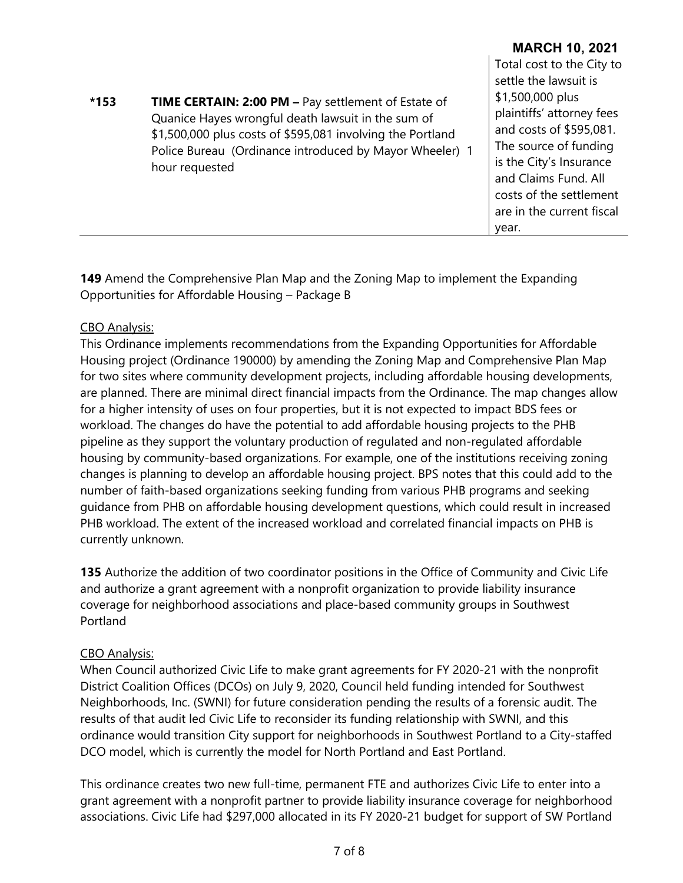| <b>TIME CERTAIN: 2:00 PM - Pay settlement of Estate of</b><br>$*153$<br>Quanice Hayes wrongful death lawsuit in the sum of<br>\$1,500,000 plus costs of \$595,081 involving the Portland<br>Police Bureau (Ordinance introduced by Mayor Wheeler) 1<br>hour requested | Total cost to the City to<br>settle the lawsuit is<br>\$1,500,000 plus<br>plaintiffs' attorney fees<br>and costs of \$595,081.<br>The source of funding<br>is the City's Insurance<br>and Claims Fund. All<br>costs of the settlement<br>are in the current fiscal<br>year. |
|-----------------------------------------------------------------------------------------------------------------------------------------------------------------------------------------------------------------------------------------------------------------------|-----------------------------------------------------------------------------------------------------------------------------------------------------------------------------------------------------------------------------------------------------------------------------|
|-----------------------------------------------------------------------------------------------------------------------------------------------------------------------------------------------------------------------------------------------------------------------|-----------------------------------------------------------------------------------------------------------------------------------------------------------------------------------------------------------------------------------------------------------------------------|

**MARCH 10, 2021**

**149** Amend the Comprehensive Plan Map and the Zoning Map to implement the Expanding Opportunities for Affordable Housing – Package B

#### CBO Analysis:

This Ordinance implements recommendations from the Expanding Opportunities for Affordable Housing project (Ordinance 190000) by amending the Zoning Map and Comprehensive Plan Map for two sites where community development projects, including affordable housing developments, are planned. There are minimal direct financial impacts from the Ordinance. The map changes allow for a higher intensity of uses on four properties, but it is not expected to impact BDS fees or workload. The changes do have the potential to add affordable housing projects to the PHB pipeline as they support the voluntary production of regulated and non-regulated affordable housing by community-based organizations. For example, one of the institutions receiving zoning changes is planning to develop an affordable housing project. BPS notes that this could add to the number of faith-based organizations seeking funding from various PHB programs and seeking guidance from PHB on affordable housing development questions, which could result in increased PHB workload. The extent of the increased workload and correlated financial impacts on PHB is currently unknown.

**135** Authorize the addition of two coordinator positions in the Office of Community and Civic Life and authorize a grant agreement with a nonprofit organization to provide liability insurance coverage for neighborhood associations and place-based community groups in Southwest Portland

#### CBO Analysis:

When Council authorized Civic Life to make grant agreements for FY 2020-21 with the nonprofit District Coalition Offices (DCOs) on July 9, 2020, Council held funding intended for Southwest Neighborhoods, Inc. (SWNI) for future consideration pending the results of a forensic audit. The results of that audit led Civic Life to reconsider its funding relationship with SWNI, and this ordinance would transition City support for neighborhoods in Southwest Portland to a City-staffed DCO model, which is currently the model for North Portland and East Portland.

This ordinance creates two new full-time, permanent FTE and authorizes Civic Life to enter into a grant agreement with a nonprofit partner to provide liability insurance coverage for neighborhood associations. Civic Life had \$297,000 allocated in its FY 2020-21 budget for support of SW Portland